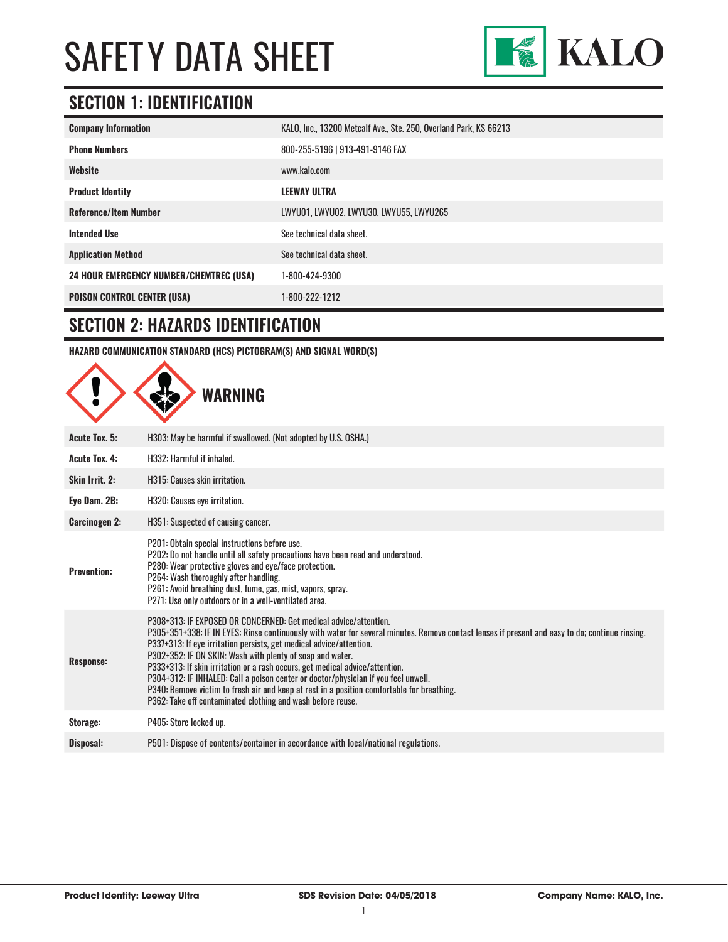

### **SECTION 1: IDENTIFICATION**

| <b>Company Information</b>                     | KALO, Inc., 13200 Metcalf Ave., Ste. 250, Overland Park, KS 66213 |
|------------------------------------------------|-------------------------------------------------------------------|
| <b>Phone Numbers</b>                           | 800-255-5196   913-491-9146 FAX                                   |
| Website                                        | www.kalo.com                                                      |
| <b>Product Identity</b>                        | <b>LEEWAY ULTRA</b>                                               |
| <b>Reference/Item Number</b>                   | LWYU01, LWYU02, LWYU30, LWYU55, LWYU265                           |
| <b>Intended Use</b>                            | See technical data sheet.                                         |
| <b>Application Method</b>                      | See technical data sheet.                                         |
| <b>24 HOUR EMERGENCY NUMBER/CHEMTREC (USA)</b> | 1-800-424-9300                                                    |
| <b>POISON CONTROL CENTER (USA)</b>             | 1-800-222-1212                                                    |

#### **SECTION 2: HAZARDS IDENTIFICATION**

**HAZARD COMMUNICATION STANDARD (HCS) PICTOGRAM(S) AND SIGNAL WORD(S)**

|                      | WARNING                                                                                                                                                                                                                                                                                                                                                                                                                                                                                                                                                                                                                                                                                    |
|----------------------|--------------------------------------------------------------------------------------------------------------------------------------------------------------------------------------------------------------------------------------------------------------------------------------------------------------------------------------------------------------------------------------------------------------------------------------------------------------------------------------------------------------------------------------------------------------------------------------------------------------------------------------------------------------------------------------------|
| <b>Acute Tox. 5:</b> | H303: May be harmful if swallowed. (Not adopted by U.S. OSHA.)                                                                                                                                                                                                                                                                                                                                                                                                                                                                                                                                                                                                                             |
| <b>Acute Tox. 4:</b> | H332: Harmful if inhaled.                                                                                                                                                                                                                                                                                                                                                                                                                                                                                                                                                                                                                                                                  |
| Skin Irrit. 2:       | H315: Causes skin irritation.                                                                                                                                                                                                                                                                                                                                                                                                                                                                                                                                                                                                                                                              |
| Eye Dam. 2B:         | H320: Causes eye irritation.                                                                                                                                                                                                                                                                                                                                                                                                                                                                                                                                                                                                                                                               |
| <b>Carcinogen 2:</b> | H351: Suspected of causing cancer.                                                                                                                                                                                                                                                                                                                                                                                                                                                                                                                                                                                                                                                         |
| <b>Prevention:</b>   | P201: Obtain special instructions before use.<br>P202: Do not handle until all safety precautions have been read and understood.<br>P280: Wear protective gloves and eye/face protection.<br>P264: Wash thoroughly after handling.<br>P261: Avoid breathing dust, fume, gas, mist, vapors, spray.<br>P271: Use only outdoors or in a well-ventilated area.                                                                                                                                                                                                                                                                                                                                 |
| <b>Response:</b>     | P308+313: IF EXPOSED OR CONCERNED: Get medical advice/attention.<br>P305+351+338: IF IN EYES: Rinse continuously with water for several minutes. Remove contact lenses if present and easy to do; continue rinsing.<br>P337+313: If eye irritation persists, get medical advice/attention.<br>P302+352: IF ON SKIN: Wash with plenty of soap and water.<br>P333+313: If skin irritation or a rash occurs, get medical advice/attention.<br>P304+312: IF INHALED: Call a poison center or doctor/physician if you feel unwell.<br>P340: Remove victim to fresh air and keep at rest in a position comfortable for breathing.<br>P362: Take off contaminated clothing and wash before reuse. |
| Storage:             | P405: Store locked up.                                                                                                                                                                                                                                                                                                                                                                                                                                                                                                                                                                                                                                                                     |
| Disposal:            | P501: Dispose of contents/container in accordance with local/national regulations.                                                                                                                                                                                                                                                                                                                                                                                                                                                                                                                                                                                                         |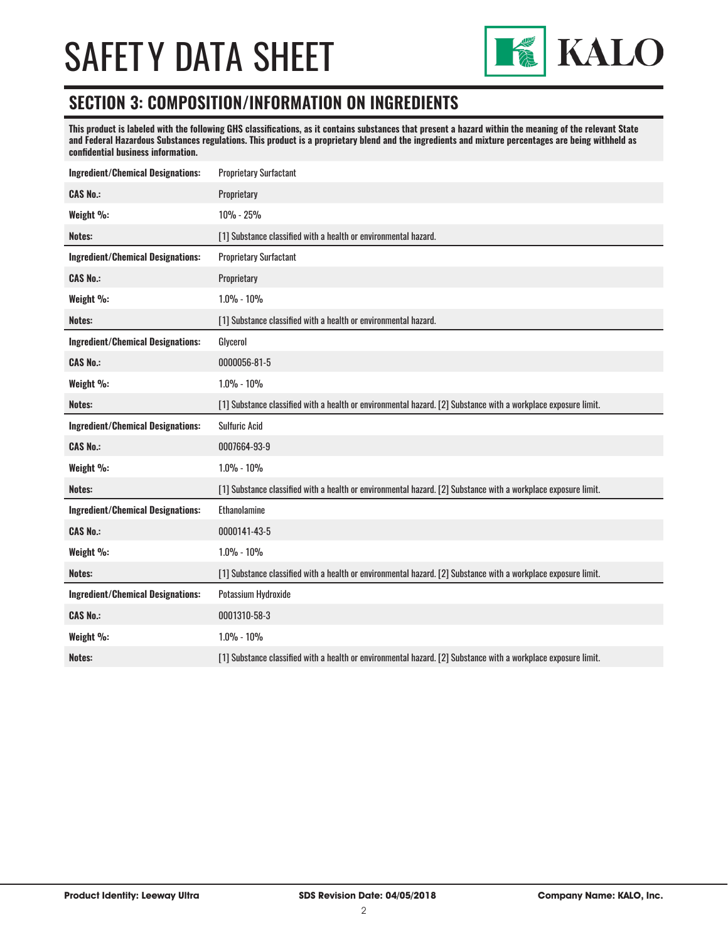

#### **SECTION 3: COMPOSITION/INFORMATION ON INGREDIENTS**

**This product is labeled with the following GHS classifications, as it contains substances that present a hazard within the meaning of the relevant State and Federal Hazardous Substances regulations. This product is a proprietary blend and the ingredients and mixture percentages are being withheld as confidential business information.**

| <b>Ingredient/Chemical Designations:</b> | <b>Proprietary Surfactant</b>                                                                                  |
|------------------------------------------|----------------------------------------------------------------------------------------------------------------|
| <b>CAS No.:</b>                          | Proprietary                                                                                                    |
| Weight %:                                | 10% - 25%                                                                                                      |
| Notes:                                   | [1] Substance classified with a health or environmental hazard.                                                |
| <b>Ingredient/Chemical Designations:</b> | <b>Proprietary Surfactant</b>                                                                                  |
| <b>CAS No.:</b>                          | Proprietary                                                                                                    |
| Weight %:                                | $1.0\% - 10\%$                                                                                                 |
| Notes:                                   | [1] Substance classified with a health or environmental hazard.                                                |
| <b>Ingredient/Chemical Designations:</b> | Glycerol                                                                                                       |
| <b>CAS No.:</b>                          | 0000056-81-5                                                                                                   |
| Weight %:                                | $1.0\% - 10\%$                                                                                                 |
| Notes:                                   | [1] Substance classified with a health or environmental hazard. [2] Substance with a workplace exposure limit. |
| <b>Ingredient/Chemical Designations:</b> | <b>Sulfuric Acid</b>                                                                                           |
| <b>CAS No.:</b>                          | 0007664-93-9                                                                                                   |
| Weight %:                                | $1.0\% - 10\%$                                                                                                 |
| Notes:                                   |                                                                                                                |
|                                          | [1] Substance classified with a health or environmental hazard. [2] Substance with a workplace exposure limit. |
| <b>Ingredient/Chemical Designations:</b> | Ethanolamine                                                                                                   |
| <b>CAS No.:</b>                          | 0000141-43-5                                                                                                   |
| Weight %:                                | $1.0\% - 10\%$                                                                                                 |
| Notes:                                   | [1] Substance classified with a health or environmental hazard. [2] Substance with a workplace exposure limit. |
| <b>Ingredient/Chemical Designations:</b> | Potassium Hydroxide                                                                                            |
| <b>CAS No.:</b>                          | 0001310-58-3                                                                                                   |
| Weight %:                                | $1.0\% - 10\%$                                                                                                 |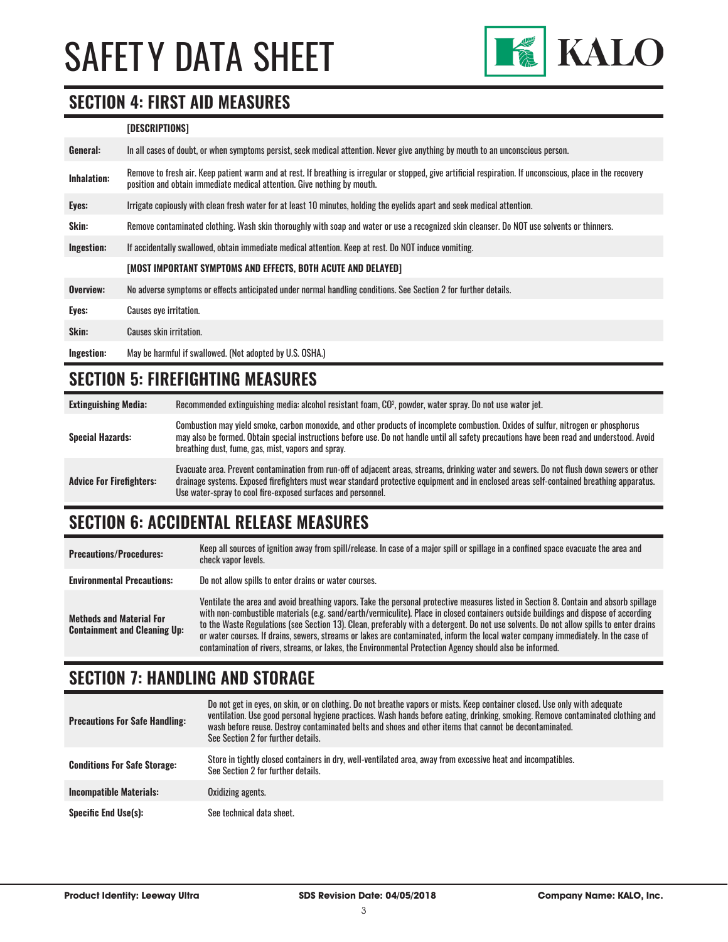

#### **SECTION 4: FIRST AID MEASURES**

#### **[DESCRIPTIONS]**

| General:           | In all cases of doubt, or when symptoms persist, seek medical attention. Never give anything by mouth to an unconscious person.                                                                                                         |
|--------------------|-----------------------------------------------------------------------------------------------------------------------------------------------------------------------------------------------------------------------------------------|
| <b>Inhalation:</b> | Remove to fresh air. Keep patient warm and at rest. If breathing is irregular or stopped, give artificial respiration. If unconscious, place in the recovery<br>position and obtain immediate medical attention. Give nothing by mouth. |
| Eyes:              | Irrigate copiously with clean fresh water for at least 10 minutes, holding the eyelids apart and seek medical attention.                                                                                                                |
| Skin:              | Remove contaminated clothing. Wash skin thoroughly with soap and water or use a recognized skin cleanser. Do NOT use solvents or thinners.                                                                                              |
| Ingestion:         | If accidentally swallowed, obtain immediate medical attention. Keep at rest, Do NOT induce vomiting.                                                                                                                                    |
|                    | [MOST IMPORTANT SYMPTOMS AND EFFECTS, BOTH ACUTE AND DELAYED]                                                                                                                                                                           |
| Overview:          | No adverse symptoms or effects anticipated under normal handling conditions. See Section 2 for further details.                                                                                                                         |
| Eyes:              | <b>Causes eye irritation.</b>                                                                                                                                                                                                           |
| Skin:              | <b>Causes skin irritation.</b>                                                                                                                                                                                                          |
| Ingestion:         | May be harmful if swallowed. (Not adopted by U.S. OSHA.)                                                                                                                                                                                |

#### **SECTION 5: FIREFIGHTING MEASURES**

| <b>Extinguishing Media:</b>     | Recommended extinguishing media: alcohol resistant foam, CO <sup>2</sup> , powder, water spray. Do not use water jet.                                                                                                                                                                                                                                  |
|---------------------------------|--------------------------------------------------------------------------------------------------------------------------------------------------------------------------------------------------------------------------------------------------------------------------------------------------------------------------------------------------------|
| <b>Special Hazards:</b>         | Combustion may yield smoke, carbon monoxide, and other products of incomplete combustion. Oxides of sulfur, nitrogen or phosphorus<br>may also be formed. Obtain special instructions before use. Do not handle until all safety precautions have been read and understood. Avoid<br>breathing dust, fume, gas, mist, vapors and spray.                |
| <b>Advice For Firefighters:</b> | Evacuate area. Prevent contamination from run-off of adjacent areas, streams, drinking water and sewers. Do not flush down sewers or other<br>drainage systems. Exposed firefighters must wear standard protective equipment and in enclosed areas self-contained breathing apparatus.<br>Use water-spray to cool fire-exposed surfaces and personnel. |

#### **SECTION 6: ACCIDENTAL RELEASE MEASURES**

| <b>Precautions/Procedures:</b>                                         | Keep all sources of ignition away from spill/release. In case of a major spill or spillage in a confined space evacuate the area and<br>check vapor levels.                                                                                                                                                                                                                                                                                                                                                                                                                                                                                                               |
|------------------------------------------------------------------------|---------------------------------------------------------------------------------------------------------------------------------------------------------------------------------------------------------------------------------------------------------------------------------------------------------------------------------------------------------------------------------------------------------------------------------------------------------------------------------------------------------------------------------------------------------------------------------------------------------------------------------------------------------------------------|
| <b>Environmental Precautions:</b>                                      | Do not allow spills to enter drains or water courses.                                                                                                                                                                                                                                                                                                                                                                                                                                                                                                                                                                                                                     |
| <b>Methods and Material For</b><br><b>Containment and Cleaning Up:</b> | Ventilate the area and avoid breathing vapors. Take the personal protective measures listed in Section 8. Contain and absorb spillage<br>with non-combustible materials (e.g. sand/earth/vermiculite). Place in closed containers outside buildings and dispose of according<br>to the Waste Regulations (see Section 13). Clean, preferably with a detergent. Do not use solvents. Do not allow spills to enter drains<br>or water courses. If drains, sewers, streams or lakes are contaminated, inform the local water company immediately. In the case of<br>contamination of rivers, streams, or lakes, the Environmental Protection Agency should also be informed. |

### **SECTION 7: HANDLING AND STORAGE**

| <b>Precautions For Safe Handling:</b> | Do not get in eyes, on skin, or on clothing. Do not breathe vapors or mists. Keep container closed. Use only with adequate<br>ventilation. Use good personal hygiene practices. Wash hands before eating, drinking, smoking. Remove contaminated clothing and<br>wash before reuse. Destroy contaminated belts and shoes and other items that cannot be decontaminated.<br>See Section 2 for further details. |
|---------------------------------------|---------------------------------------------------------------------------------------------------------------------------------------------------------------------------------------------------------------------------------------------------------------------------------------------------------------------------------------------------------------------------------------------------------------|
| <b>Conditions For Safe Storage:</b>   | Store in tightly closed containers in dry, well-ventilated area, away from excessive heat and incompatibles.<br>See Section 2 for further details.                                                                                                                                                                                                                                                            |
| <b>Incompatible Materials:</b>        | Oxidizing agents.                                                                                                                                                                                                                                                                                                                                                                                             |
| <b>Specific End Use(s):</b>           | See technical data sheet.                                                                                                                                                                                                                                                                                                                                                                                     |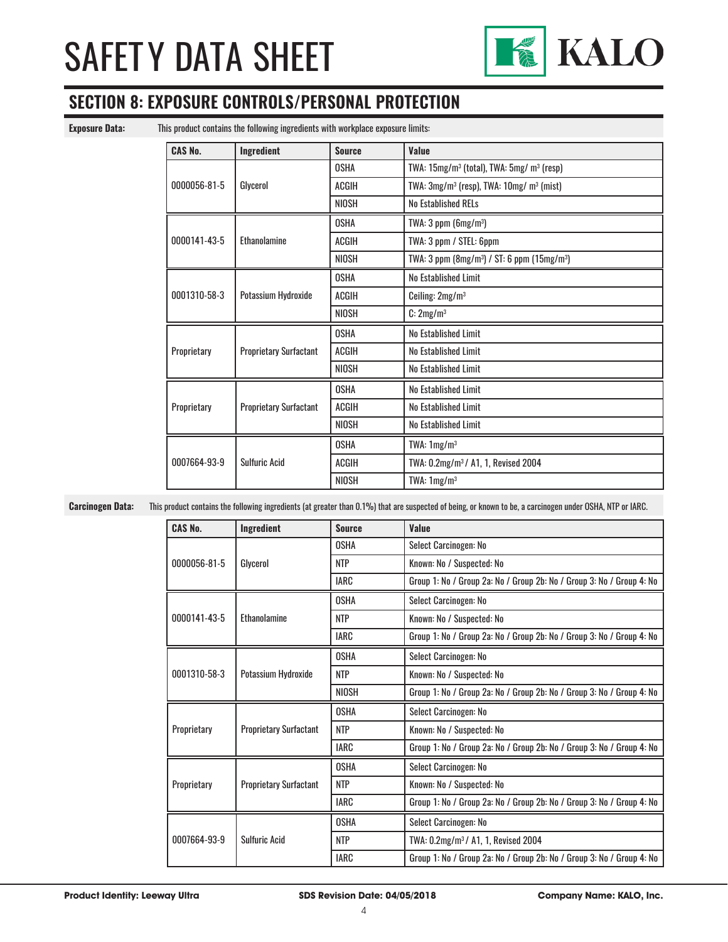

### **SECTION 8: EXPOSURE CONTROLS/PERSONAL PROTECTION**

**Exposure Data:** This product contains the following ingredients with workplace exposure limits:

| <b>CAS No.</b> | Ingredient                    | <b>Source</b> | Value                                                               |
|----------------|-------------------------------|---------------|---------------------------------------------------------------------|
| 0000056-81-5   | Glycerol                      | <b>OSHA</b>   | TWA: 15mg/m <sup>3</sup> (total), TWA: 5mg/ m <sup>3</sup> (resp)   |
|                |                               | <b>ACGIH</b>  | TWA: 3mg/m <sup>3</sup> (resp), TWA: 10mg/ m <sup>3</sup> (mist)    |
|                |                               | <b>NIOSH</b>  | <b>No Established RELs</b>                                          |
|                |                               | <b>OSHA</b>   | TWA: $3$ ppm (6mg/m <sup>3</sup> )                                  |
| 0000141-43-5   | Ethanolamine                  | <b>ACGIH</b>  | TWA: 3 ppm / STEL: 6ppm                                             |
|                |                               | <b>NIOSH</b>  | TWA: 3 ppm (8mg/m <sup>3</sup> ) / ST: 6 ppm (15mg/m <sup>3</sup> ) |
|                | Potassium Hydroxide           | <b>OSHA</b>   | No Established Limit                                                |
| 0001310-58-3   |                               | ACGIH         | Ceiling: 2mg/m <sup>3</sup>                                         |
|                |                               | <b>NIOSH</b>  | C: 2mg/m <sup>3</sup>                                               |
|                | <b>Proprietary Surfactant</b> | <b>OSHA</b>   | No Established Limit                                                |
| Proprietary    |                               | ACGIH         | No Established Limit                                                |
|                |                               | <b>NIOSH</b>  | No Established Limit                                                |
| Proprietary    | <b>Proprietary Surfactant</b> | <b>OSHA</b>   | No Established Limit                                                |
|                |                               | <b>ACGIH</b>  | No Established Limit                                                |
|                |                               | <b>NIOSH</b>  | No Established Limit                                                |
|                | <b>Sulfuric Acid</b>          | <b>OSHA</b>   | TWA: $1mg/m3$                                                       |
| 0007664-93-9   |                               | ACGIH         | TWA: 0.2mg/m <sup>3</sup> / A1, 1, Revised 2004                     |
|                |                               | <b>NIOSH</b>  | TWA: $1mg/m3$                                                       |

**Carcinogen Data:** This product contains the following ingredients (at greater than 0.1%) that are suspected of being, or known to be, a carcinogen under OSHA, NTP or IARC.

| <b>CAS No.</b> | <b>Ingredient</b>             | <b>Source</b> | Value                                                                 |
|----------------|-------------------------------|---------------|-----------------------------------------------------------------------|
| 0000056-81-5   | Glycerol                      | <b>OSHA</b>   | Select Carcinogen: No                                                 |
|                |                               | <b>NTP</b>    | Known: No / Suspected: No                                             |
|                |                               | <b>IARC</b>   | Group 1: No / Group 2a: No / Group 2b: No / Group 3: No / Group 4: No |
| 0000141-43-5   |                               | <b>OSHA</b>   | Select Carcinogen: No                                                 |
|                | <b>Fthanolamine</b>           | <b>NTP</b>    | Known: No / Suspected: No                                             |
|                |                               | <b>IARC</b>   | Group 1: No / Group 2a: No / Group 2b: No / Group 3: No / Group 4: No |
|                | Potassium Hydroxide           | <b>OSHA</b>   | Select Carcinogen: No                                                 |
| 0001310-58-3   |                               | <b>NTP</b>    | Known: No / Suspected: No                                             |
|                |                               | <b>NIOSH</b>  | Group 1: No / Group 2a: No / Group 2b: No / Group 3: No / Group 4: No |
| Proprietary    | <b>Proprietary Surfactant</b> | <b>OSHA</b>   | Select Carcinogen: No                                                 |
|                |                               | <b>NTP</b>    | Known: No / Suspected: No                                             |
|                |                               | <b>IARC</b>   | Group 1: No / Group 2a: No / Group 2b: No / Group 3: No / Group 4: No |
| Proprietary    | <b>Proprietary Surfactant</b> | <b>OSHA</b>   | Select Carcinogen: No                                                 |
|                |                               | <b>NTP</b>    | Known: No / Suspected: No                                             |
|                |                               | IARC          | Group 1: No / Group 2a: No / Group 2b: No / Group 3: No / Group 4: No |
| 0007664-93-9   | <b>Sulfuric Acid</b>          | <b>OSHA</b>   | Select Carcinogen: No                                                 |
|                |                               | <b>NTP</b>    | TWA: 0.2mg/m <sup>3</sup> / A1, 1, Revised 2004                       |
|                |                               | <b>IARC</b>   | Group 1: No / Group 2a: No / Group 2b: No / Group 3: No / Group 4: No |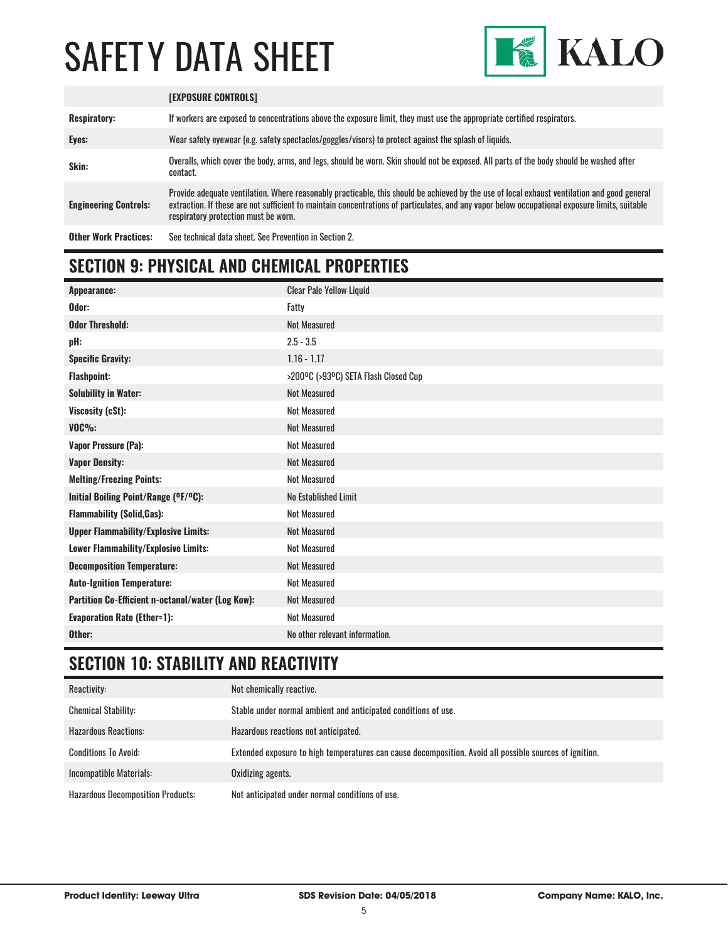

|                              | <b>IEXPOSURE CONTROLSI</b>                                                                                                                                                                                                                                                                                                             |
|------------------------------|----------------------------------------------------------------------------------------------------------------------------------------------------------------------------------------------------------------------------------------------------------------------------------------------------------------------------------------|
| <b>Respiratory:</b>          | If workers are exposed to concentrations above the exposure limit, they must use the appropriate certified respirators.                                                                                                                                                                                                                |
| Eyes:                        | Wear safety eyewear (e.g. safety spectacles/goggles/visors) to protect against the splash of liquids.                                                                                                                                                                                                                                  |
| Skin:                        | Overalls, which cover the body, arms, and legs, should be worn. Skin should not be exposed. All parts of the body should be washed after<br>contact.                                                                                                                                                                                   |
| <b>Engineering Controls:</b> | Provide adequate ventilation. Where reasonably practicable, this should be achieved by the use of local exhaust ventilation and good general<br>extraction. If these are not sufficient to maintain concentrations of particulates, and any vapor below occupational exposure limits, suitable<br>respiratory protection must be worn. |
| <b>Other Work Practices:</b> | See technical data sheet. See Prevention in Section 2.                                                                                                                                                                                                                                                                                 |

### **SECTION 9: PHYSICAL AND CHEMICAL PROPERTIES**

| <b>Appearance:</b>                                | <b>Clear Pale Yellow Liquid</b>      |
|---------------------------------------------------|--------------------------------------|
| Odor:                                             | Fatty                                |
| <b>Odor Threshold:</b>                            | <b>Not Measured</b>                  |
| pH:                                               | $2.5 - 3.5$                          |
| <b>Specific Gravity:</b>                          | $1.16 - 1.17$                        |
| <b>Flashpoint:</b>                                | >200°C (>93°C) SETA Flash Closed Cup |
| <b>Solubility in Water:</b>                       | <b>Not Measured</b>                  |
| Viscosity (cSt):                                  | <b>Not Measured</b>                  |
| $VOC\%$                                           | <b>Not Measured</b>                  |
| <b>Vapor Pressure (Pa):</b>                       | <b>Not Measured</b>                  |
| <b>Vapor Density:</b>                             | <b>Not Measured</b>                  |
| <b>Melting/Freezing Points:</b>                   | <b>Not Measured</b>                  |
| Initial Boiling Point/Range (OF/OC):              | No Established Limit                 |
| <b>Flammability (Solid, Gas):</b>                 | <b>Not Measured</b>                  |
| <b>Upper Flammability/Explosive Limits:</b>       | <b>Not Measured</b>                  |
| Lower Flammability/Explosive Limits:              | <b>Not Measured</b>                  |
| <b>Decomposition Temperature:</b>                 | <b>Not Measured</b>                  |
| <b>Auto-Ignition Temperature:</b>                 | <b>Not Measured</b>                  |
| Partition Co-Efficient n-octanol/water (Log Kow): | <b>Not Measured</b>                  |
| <b>Evaporation Rate (Ether=1):</b>                | <b>Not Measured</b>                  |
| Other:                                            | No other relevant information.       |

### **SECTION 10: STABILITY AND REACTIVITY**

| Reactivity:                              | Not chemically reactive.                                                                                |
|------------------------------------------|---------------------------------------------------------------------------------------------------------|
| <b>Chemical Stability:</b>               | Stable under normal ambient and anticipated conditions of use.                                          |
| <b>Hazardous Reactions:</b>              | Hazardous reactions not anticipated.                                                                    |
| <b>Conditions To Avoid:</b>              | Extended exposure to high temperatures can cause decomposition. Avoid all possible sources of ignition. |
| Incompatible Materials:                  | Oxidizing agents.                                                                                       |
| <b>Hazardous Decomposition Products:</b> | Not anticipated under normal conditions of use.                                                         |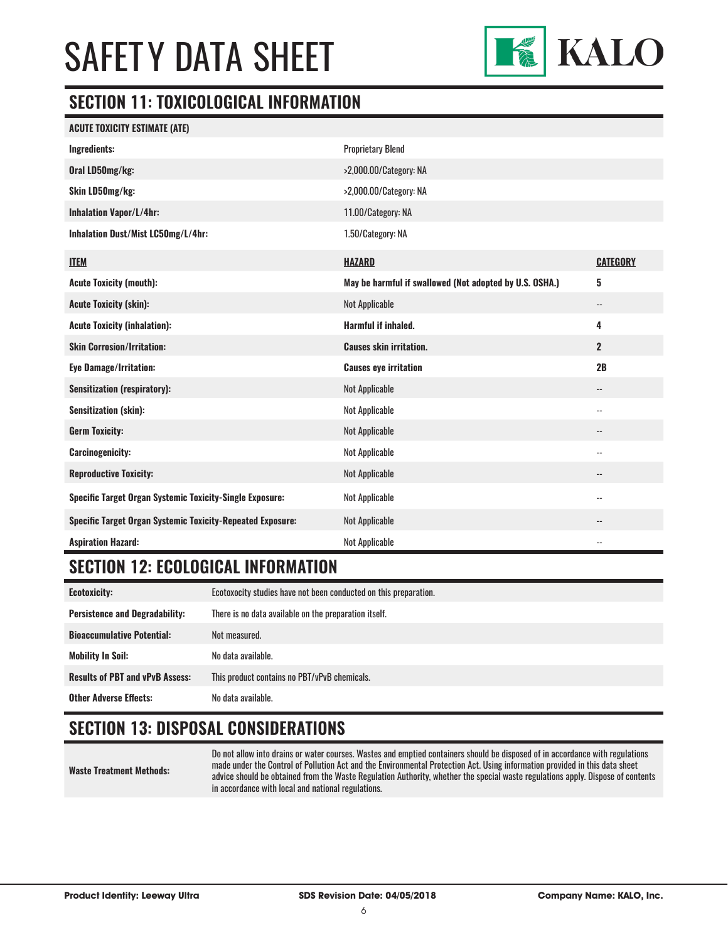

### **SECTION 11: TOXICOLOGICAL INFORMATION**

| <b>ACUTE TOXICITY ESTIMATE (ATE)</b>                              |                                                         |                          |
|-------------------------------------------------------------------|---------------------------------------------------------|--------------------------|
| Ingredients:                                                      | <b>Proprietary Blend</b>                                |                          |
| Oral LD50mg/kg:                                                   | >2,000.00/Category: NA                                  |                          |
| Skin LD50mg/kg:                                                   | >2,000.00/Category: NA                                  |                          |
| <b>Inhalation Vapor/L/4hr:</b>                                    | 11.00/Category: NA                                      |                          |
| Inhalation Dust/Mist LC50mg/L/4hr:                                | 1.50/Category: NA                                       |                          |
| <b>ITEM</b>                                                       | <b>HAZARD</b>                                           | <b>CATEGORY</b>          |
| <b>Acute Toxicity (mouth):</b>                                    | May be harmful if swallowed (Not adopted by U.S. OSHA.) | 5                        |
| <b>Acute Toxicity (skin):</b>                                     | <b>Not Applicable</b>                                   | $\overline{\phantom{a}}$ |
| <b>Acute Toxicity (inhalation):</b>                               | Harmful if inhaled.                                     | 4                        |
| <b>Skin Corrosion/Irritation:</b>                                 | <b>Causes skin irritation.</b>                          | $\overline{2}$           |
| <b>Eye Damage/Irritation:</b>                                     | <b>Causes eye irritation</b>                            | 2B                       |
| <b>Sensitization (respiratory):</b>                               | <b>Not Applicable</b>                                   | $\overline{\phantom{a}}$ |
| <b>Sensitization (skin):</b>                                      | <b>Not Applicable</b>                                   | --                       |
| <b>Germ Toxicity:</b>                                             | <b>Not Applicable</b>                                   | --                       |
| <b>Carcinogenicity:</b>                                           | Not Applicable                                          | $\overline{\phantom{a}}$ |
| <b>Reproductive Toxicity:</b>                                     | <b>Not Applicable</b>                                   | --                       |
| <b>Specific Target Organ Systemic Toxicity-Single Exposure:</b>   | Not Applicable                                          | $\overline{\phantom{a}}$ |
| <b>Specific Target Organ Systemic Toxicity-Repeated Exposure:</b> | Not Applicable                                          | $\overline{\phantom{a}}$ |
| <b>Aspiration Hazard:</b>                                         | <b>Not Applicable</b>                                   | $\overline{\phantom{a}}$ |

### **SECTION 12: ECOLOGICAL INFORMATION**

| <b>Ecotoxicity:</b>                    | Ecotoxocity studies have not been conducted on this preparation. |
|----------------------------------------|------------------------------------------------------------------|
| <b>Persistence and Degradability:</b>  | There is no data available on the preparation itself.            |
| <b>Bioaccumulative Potential:</b>      | Not measured.                                                    |
| <b>Mobility In Soil:</b>               | No data available.                                               |
| <b>Results of PBT and vPvB Assess:</b> | This product contains no PBT/vPvB chemicals.                     |
| <b>Other Adverse Effects:</b>          | No data available.                                               |

### **SECTION 13: DISPOSAL CONSIDERATIONS**

**Waste Treatment Methods:** Do not allow into drains or water courses. Wastes and emptied containers should be disposed of in accordance with regulations made under the Control of Pollution Act and the Environmental Protection Act. Using information provided in this data sheet advice should be obtained from the Waste Regulation Authority, whether the special waste regulations apply. Dispose of contents in accordance with local and national regulations.